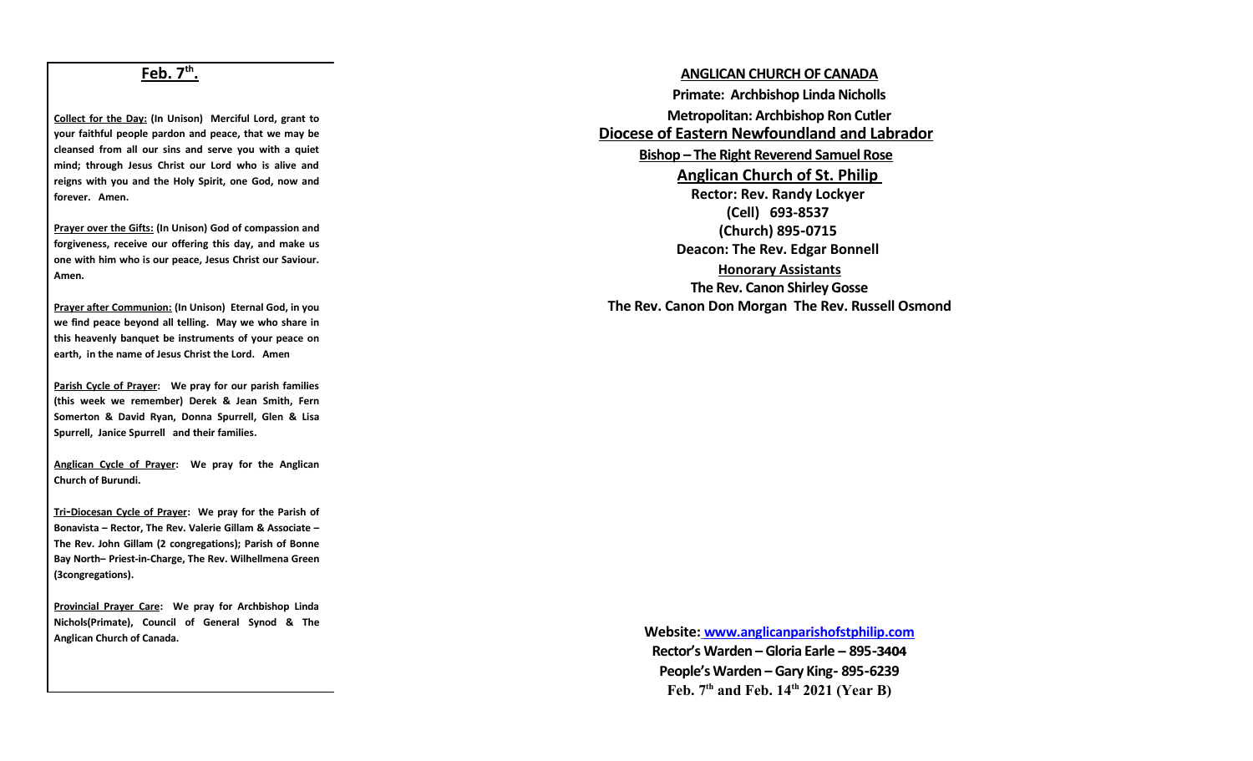## **Feb. 7th .**

**Collect for the Day: (In Unison) Merciful Lord, grant to your faithful people pardon and peace, that we may be cleansed from all our sins and serve you with a quiet mind; through Jesus Christ our Lord who is alive and reigns with you and the Holy Spirit, one God, now and forever. Amen.**

**Prayer over the Gifts: (In Unison) God of compassion and forgiveness, receive our offering this day, and make us one with him who is our peace, Jesus Christ our Saviour. Amen.**

**Prayer after Communion: (In Unison) Eternal God, in you we find peace beyond all telling. May we who share in this heavenly banquet be instruments of your peace on earth, in the name of Jesus Christ the Lord. Amen**

**Parish Cycle of Prayer: We pray for our parish families (this week we remember) Derek & Jean Smith, Fern Somerton & David Ryan, Donna Spurrell, Glen & Lisa Spurrell, Janice Spurrell and their families.**

**Anglican Cycle of Prayer: We pray for the Anglican Church of Burundi.**

 **Tri -Diocesan Cycle of Prayer: We pray for the Parish of Bonavista – Rector, The Rev. Valerie Gillam & Associate – The Rev. John Gillam (2 congregations); Parish of Bonne Bay North– Priest-in-Charge, The Rev. Wilhellmena Green (3congregations).** 

**Provincial Prayer Care: We pray for Archbishop Linda Nichols(Primate), Council of General Synod & The Anglican Church of Canada.**

**ANGLICAN CHURCH OF CANADA Primate: Archbishop Linda Nicholls Metropolitan: Archbishop Ron Cutler Diocese of Eastern Newfoundland and Labrador Bishop – The Right Reverend Samuel Rose Anglican Church of St. Philip Rector: Rev. Randy Lockyer (Cell) 693-8537 (Church) 895-0715 Deacon: The Rev. Edgar Bonnell Honorary Assistants The Rev. Canon Shirley Gosse The Rev. Canon Don Morgan The Rev. Russell Osmond**

> **Website: [www.anglicanparishofstphilip.com](http://www.anglicanparishofstphilip.com/)  Rector's Warden – Gloria Earle – 895-3404 People's Warden – Gary King- 895-6239 Feb. 7th and Feb. 14th 2021 (Year B)**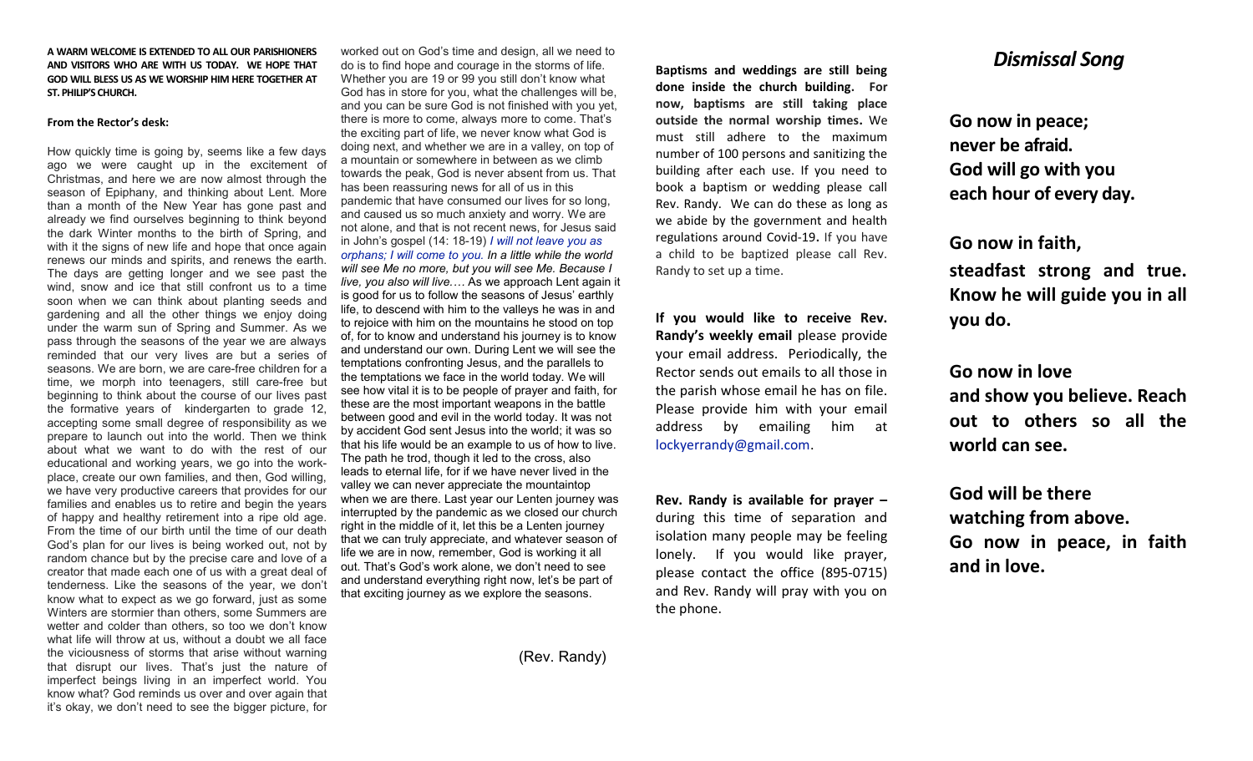#### **A WARM WELCOME IS EXTENDED TO ALL OUR PARISHIONERS AND VISITORS WHO ARE WITH US TODAY. WE HOPE THAT GOD WILL BLESS US AS WE WORSHIP HIM HERE TOGETHER AT ST. PHILIP'S CHURCH.**

#### **From the Rector's desk:**

How quickly time is going by, seems like a few days ago we were caught up in the excitement of Christmas, and here we are now almost through the season of Epiphany, and thinking about Lent. More than a month of the New Year has gone past and already we find ourselves beginning to think beyond the dark Winter months to the birth of Spring, and with it the signs of new life and hope that once again renews our minds and spirits, and renews the earth. The days are getting longer and we see past the wind, snow and ice that still confront us to a time soon when we can think about planting seeds and gardening and all the other things we enjoy doing under the warm sun of Spring and Summer. As we pass through the seasons of the year we are always reminded that our very lives are but a series of seasons. We are born, we are care-free children for a time, we morph into teenagers, still care-free but beginning to think about the course of our lives past the formative years of kindergarten to grade 12, accepting some small degree of responsibility as we prepare to launch out into the world. Then we think about what we want to do with the rest of our educational and working years, we go into the workplace, create our own families, and then, God willing, we have very productive careers that provides for our families and enables us to retire and begin the years of happy and healthy retirement into a ripe old age. From the time of our birth until the time of our death God's plan for our lives is being worked out, not by random chance but by the precise care and love of a creator that made each one of us with a great deal of tenderness. Like the seasons of the year, we don't know what to expect as we go forward, just as some Winters are stormier than others, some Summers are wetter and colder than others, so too we don't know what life will throw at us, without a doubt we all face the viciousness of storms that arise without warning that disrupt our lives. That's just the nature of imperfect beings living in an imperfect world. You know what? God reminds us over and over again that it's okay, we don't need to see the bigger picture, for

worked out on God's time and design, all we need to do is to find hope and courage in the storms of life. Whether you are 19 or 99 you still don't know what God has in store for you, what the challenges will be, and you can be sure God is not finished with you yet, there is more to come, always more to come. That's the exciting part of life, we never know what God is doing next, and whether we are in a valley, on top of a mountain or somewhere in between as we climb towards the peak, God is never absent from us. That has been reassuring news for all of us in this pandemic that have consumed our lives for so long, and caused us so much anxiety and worry. We are not alone, and that is not recent news, for Jesus said in John's gospel (14: 18-19) *[I will not leave](https://biblehub.com/greek/863.htm) [you](https://biblehub.com/greek/4771.htm) [as](https://biblehub.com/greek/3737.htm)  [orphans;](https://biblehub.com/greek/3737.htm) [I will come](https://biblehub.com/greek/2064.htm) [to](https://biblehub.com/greek/4314.htm) [you.](https://biblehub.com/greek/4771.htm) In a little while the world will see Me no more, but you will see Me. Because I live, you also will live.…* As we approach Lent again it is good for us to follow the seasons of Jesus' earthly life, to descend with him to the valleys he was in and to rejoice with him on the mountains he stood on top of, for to know and understand his journey is to know and understand our own. During Lent we will see the temptations confronting Jesus, and the parallels to the temptations we face in the world today. We will see how vital it is to be people of prayer and faith, for these are the most important weapons in the battle between good and evil in the world today. It was not by accident God sent Jesus into the world; it was so that his life would be an example to us of how to live. The path he trod, though it led to the cross, also leads to eternal life, for if we have never lived in the valley we can never appreciate the mountaintop when we are there. Last year our Lenten journey was interrupted by the pandemic as we closed our church right in the middle of it, let this be a Lenten journey that we can truly appreciate, and whatever season of life we are in now, remember, God is working it all out. That's God's work alone, we don't need to see and understand everything right now, let's be part of that exciting journey as we explore the seasons.

(Rev. Randy)

**Baptisms and weddings are still being done inside the church building. For now, baptisms are still taking place outside the normal worship times.** We must still adhere to the maximum number of 100 persons and sanitizing the building after each use. If you need to book a baptism or wedding please call Rev. Randy. We can do these as long as we abide by the government and health regulations around Covid-19**.** If you have a child to be baptized please call Rev. Randy to set up a time.

**If you would like to receive Rev. Randy's weekly email** please provide your email address. Periodically, the Rector sends out emails to all those in the parish whose email he has on file. Please provide him with your email address by emailing him at [lockyerrandy@gmail.com.](mailto:lockyerrandy@gmail.com)

**Rev. Randy is available for prayer –** during this time of separation and isolation many people may be feeling lonely. If you would like prayer, please contact the office (895-0715) and Rev. Randy will pray with you on the phone.

## *Dismissal Song*

**Go now in peace; never be afraid. God will go with you each hour of every day.**

**Go now in faith, steadfast strong and true. Know he will guide you in all you do.**

**Go now in love and show you believe. Reach out to others so all the world can see.**

**God will be there watching from above. Go now in peace, in faith and in love.**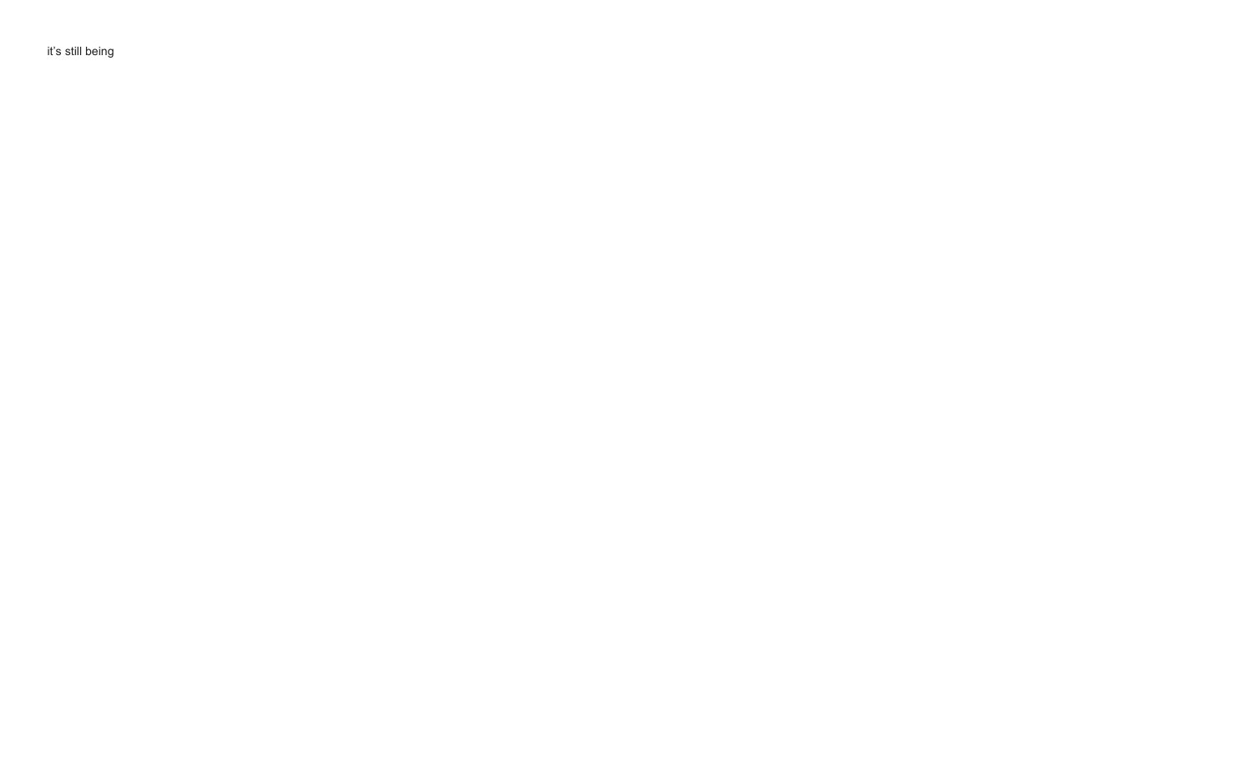it's still being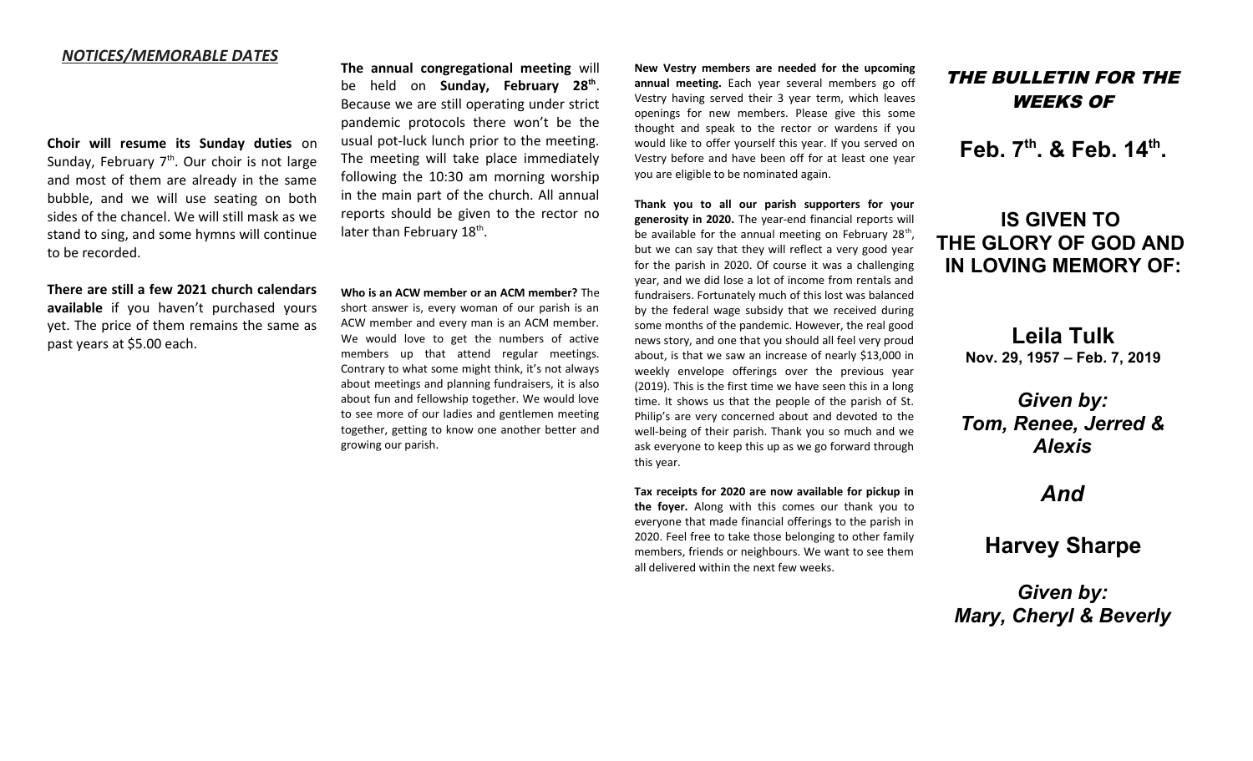### *NOTICES/MEMORABLE DATES*

**Choir will resume its Sunday duties** on Sunday, February  $7<sup>th</sup>$ . Our choir is not large and most of them are already in the same bubble, and we will use seating on both sides of the chancel. We will still mask as we stand to sing, and some hymns will continue to be recorded.

**There are still a few 2021 church calendars available** if you haven't purchased yours yet. The price of them remains the same as past years at \$5.00 each.

**The annual congregational meeting** will be held on **Sunday, February 28th** . Because we are still operating under strict pandemic protocols there won't be the usual pot-luck lunch prior to the meeting. The meeting will take place immediately following the 10:30 am morning worship in the main part of the church. All annual reports should be given to the rector no later than February 18<sup>th</sup>.

**Who is an ACW member or an ACM member?** The short answer is, every woman of our parish is an ACW member and every man is an ACM member. We would love to get the numbers of active members up that attend regular meetings. Contrary to what some might think, it's not always about meetings and planning fundraisers, it is also about fun and fellowship together. We would love to see more of our ladies and gentlemen meeting together, getting to know one another better and growing our parish.

**New Vestry members are needed for the upcoming annual meeting.** Each year several members go off Vestry having served their 3 year term, which leaves openings for new members. Please give this some thought and speak to the rector or wardens if you would like to offer yourself this year. If you served on Vestry before and have been off for at least one year you are eligible to be nominated again.

**Thank you to all our parish supporters for your generosity in 2020.** The year-end financial reports will be available for the annual meeting on February 28<sup>th</sup>, but we can say that they will reflect a very good year for the parish in 2020. Of course it was a challenging year, and we did lose a lot of income from rentals and fundraisers. Fortunately much of this lost was balanced by the federal wage subsidy that we received during some months of the pandemic. However, the real good news story, and one that you should all feel very proud about, is that we saw an increase of nearly \$13,000 in weekly envelope offerings over the previous year (2019). This is the first time we have seen this in a long time. It shows us that the people of the parish of St. Philip's are very concerned about and devoted to the well-being of their parish. Thank you so much and we ask everyone to keep this up as we go forward through this year.

**Tax receipts for 2020 are now available for pickup in the foyer.** Along with this comes our thank you to everyone that made financial offerings to the parish in 2020. Feel free to take those belonging to other family members, friends or neighbours. We want to see them all delivered within the next few weeks.

## THE BULLETIN FOR THE WEEKS OF

**Feb. 7th. & Feb. 14th .**

# **IS GIVEN TO THE GLORY OF GOD AND IN LOVING MEMORY OF:**

**Leila Tulk Nov. 29, 1957 – Feb. 7, 2019**

# *Given by: Tom, Renee, Jerred & Alexis*

*And*

# **Harvey Sharpe**

*Given by: Mary, Cheryl & Beverly*